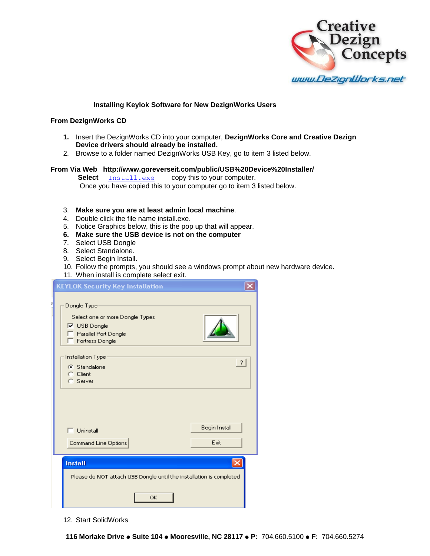

## **Installing Keylok Software for New DezignWorks Users**

## **From DezignWorks CD**

- **1.** Insert the DezignWorks CD into your computer, **DezignWorks Core and Creative Dezign Device drivers should already be installed.**
- 2. Browse to a folder named DezignWorks USB Key, go to item 3 listed below.

## **From Via Web http://www.goreverseit.com/public/USB%20Device%20Installer/**

**Select Install.exe** copy this to your computer. Once you have copied this to your computer go to item 3 listed below.

## 3. **Make sure you are at least admin local machine**.

- 4. Double click the file name install.exe.
- 5. Notice Graphics below, this is the pop up that will appear.
- **6. Make sure the USB device is not on the computer**
- 7. Select USB Dongle
- 8. Select Standalone.
- 9. Select Begin Install.
- 10. Follow the prompts, you should see a windows prompt about new hardware device.
- 11. When install is complete select exit.

| <b>KEYLOK Security Key Installation</b>                                                                                            |                |
|------------------------------------------------------------------------------------------------------------------------------------|----------------|
| Dongle Type<br>Select one or more Dongle Types<br>$\overline{\triangledown}$ USB Dongle<br>Parallel Port Dongle<br>Fortress Dongle |                |
| Installation Type<br>G Standalone<br><b>Client</b><br>c<br>C Server                                                                | $\overline{?}$ |
| <b>Hninstall</b>                                                                                                                   | Begin Install  |
| Command Line Options                                                                                                               | Exit           |
| <b>Install</b><br>Please do NOT attach USB Dongle until the installation is completed<br>OK                                        |                |

12. Start SolidWorks